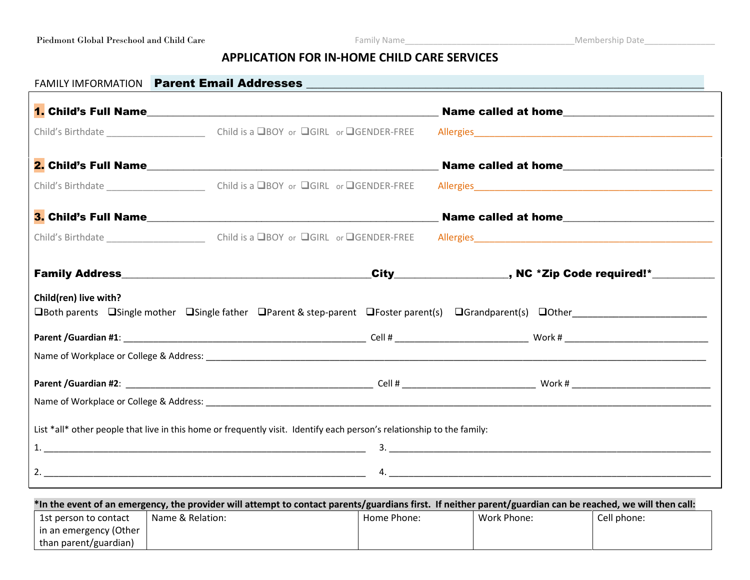## **APPLICATION FOR IN-HOME CHILD CARE SERVICES**

| FAMILY IMFORMATION Parent Email Addresses <b>And Accept and Accept and Accept and Accept and Accept and Accept and Accept and Accept and Accept and Accept and Accept and Accept and Accept and Accept and Accept and Accept and</b> |  |  |  |                     |  |  |  |
|--------------------------------------------------------------------------------------------------------------------------------------------------------------------------------------------------------------------------------------|--|--|--|---------------------|--|--|--|
|                                                                                                                                                                                                                                      |  |  |  |                     |  |  |  |
|                                                                                                                                                                                                                                      |  |  |  |                     |  |  |  |
|                                                                                                                                                                                                                                      |  |  |  |                     |  |  |  |
|                                                                                                                                                                                                                                      |  |  |  |                     |  |  |  |
|                                                                                                                                                                                                                                      |  |  |  | Name called at home |  |  |  |
|                                                                                                                                                                                                                                      |  |  |  |                     |  |  |  |
|                                                                                                                                                                                                                                      |  |  |  |                     |  |  |  |
| Child(ren) live with?<br>□Both parents □Single mother □Single father □Parent & step-parent □Foster parent(s) □Grandparent(s) □Other                                                                                                  |  |  |  |                     |  |  |  |
|                                                                                                                                                                                                                                      |  |  |  |                     |  |  |  |
|                                                                                                                                                                                                                                      |  |  |  |                     |  |  |  |
|                                                                                                                                                                                                                                      |  |  |  |                     |  |  |  |
|                                                                                                                                                                                                                                      |  |  |  |                     |  |  |  |
| List *all* other people that live in this home or frequently visit. Identify each person's relationship to the family:                                                                                                               |  |  |  |                     |  |  |  |
|                                                                                                                                                                                                                                      |  |  |  |                     |  |  |  |
|                                                                                                                                                                                                                                      |  |  |  |                     |  |  |  |
|                                                                                                                                                                                                                                      |  |  |  |                     |  |  |  |

| *In the event of an emergency, the provider will attempt to contact parents/guardians first. If neither parent/guardian can be reached, we will then call: |                  |             |             |             |  |  |  |
|------------------------------------------------------------------------------------------------------------------------------------------------------------|------------------|-------------|-------------|-------------|--|--|--|
| 1st person to contact                                                                                                                                      | Name & Relation: | Home Phone: | Work Phone: | Cell phone: |  |  |  |
| in an emergency (Other                                                                                                                                     |                  |             |             |             |  |  |  |
| than parent/guardian)                                                                                                                                      |                  |             |             |             |  |  |  |